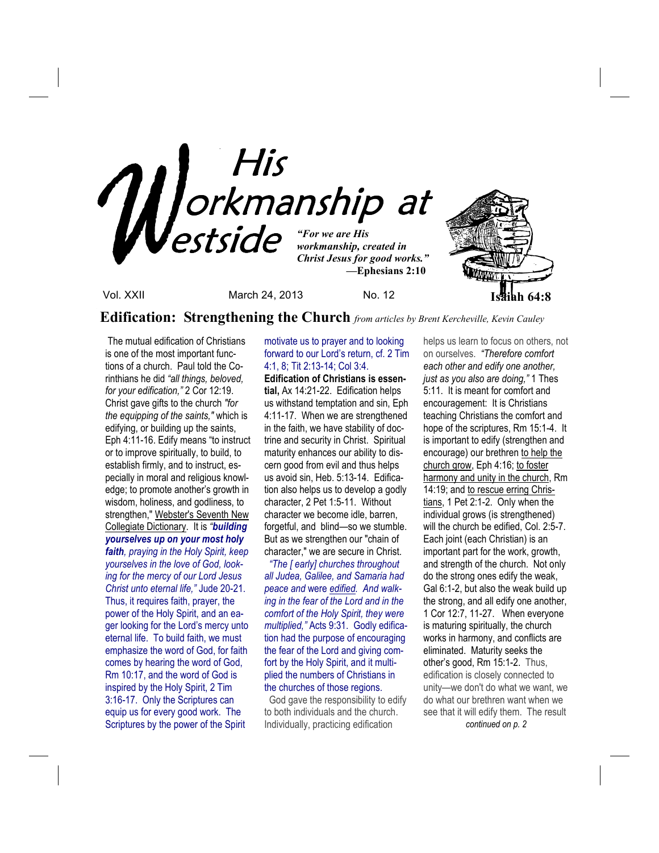

**Edification: Strengthening the Church** *from articles by Brent Kercheville, Kevin Cauley*

 The mutual edification of Christians is one of the most important functions of a church.Paul told the Corinthians he did *"all things, beloved, for your edification,"* 2 Cor 12:19. Christ gave gifts to the church *"for the equipping of the saints,"* which is edifying, or building up the saints, Eph 4:11-16. Edify means "to instruct or to improve spiritually, to build, to establish firmly, and to instruct, especially in moral and religious knowledge; to promote another's growth in wisdom, holiness, and godliness, to strengthen," Webster's Seventh New Collegiate Dictionary. It is *"building yourselves up on your most holy faith, praying in the Holy Spirit, keep yourselves in the love of God, looking for the mercy of our Lord Jesus Christ unto eternal life,"* Jude 20-21. Thus, it requires faith, prayer, the power of the Holy Spirit, and an eager looking for the Lord's mercy unto eternal life. To build faith, we must emphasize the word of God, for faith comes by hearing the word of God, Rm 10:17, and the word of God is inspired by the Holy Spirit, 2 Tim 3:16-17. Only the Scriptures can equip us for every good work. The Scriptures by the power of the Spirit

## motivate us to prayer and to looking forward to our Lord's return, cf. 2 Tim 4:1, 8; Tit 2:13-14; Col 3:4.

**Edification of Christians is essential,** Ax 14:21-22. Edification helps us withstand temptation and sin, Eph 4:11-17. When we are strengthened in the faith, we have stability of doctrine and security in Christ. Spiritual maturity enhances our ability to discern good from evil and thus helps us avoid sin, Heb. 5:13-14. Edification also helps us to develop a godly character, 2 Pet 1:5-11. Without character we become idle, barren, forgetful, and blind—so we stumble. But as we strengthen our "chain of character," we are secure in Christ.

 *"The [ early] churches throughout all Judea, Galilee, and Samaria had peace and* were *edified. And walking in the fear of the Lord and in the comfort of the Holy Spirit, they were multiplied,"* Acts 9:31. Godly edification had the purpose of encouraging the fear of the Lord and giving comfort by the Holy Spirit, and it multiplied the numbers of Christians in the churches of those regions.

 God gave the responsibility to edify to both individuals and the church. Individually, practicing edification

helps us learn to focus on others, not on ourselves. *"Therefore comfort each other and edify one another, just as you also are doing,"* 1 Thes 5:11. It is meant for comfort and encouragement: It is Christians teaching Christians the comfort and hope of the scriptures, Rm 15:1-4. It is important to edify (strengthen and encourage) our brethren to help the church grow, Eph 4:16; to foster harmony and unity in the church, Rm 14:19; and to rescue erring Christians, 1 Pet 2:1-2. Only when the individual grows (is strengthened) will the church be edified, Col. 2:5-7. Each joint (each Christian) is an important part for the work, growth, and strength of the church. Not only do the strong ones edify the weak, Gal 6:1-2, but also the weak build up the strong, and all edify one another, 1 Cor 12:7, 11-27. When everyone is maturing spiritually, the church works in harmony, and conflicts are eliminated. Maturity seeks the other's good, Rm 15:1-2. Thus, edification is closely connected to unity—we don't do what we want, we do what our brethren want when we see that it will edify them. The result *continued on p. 2*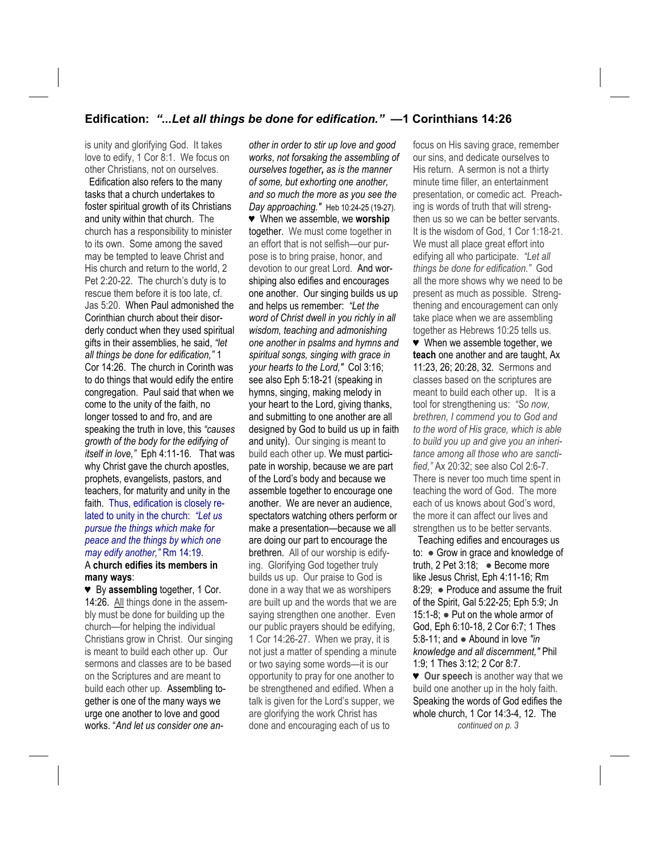## **Edification:** *"...Let all things be done for edification."* **—1 Corinthians 14:26**

is unity and glorifying God. It takes love to edify, 1 Cor 8:1. We focus on other Christians, not on ourselves.

**Edification also refers to the many** tasks that a church undertakes to foster spiritual growth of its Christians and unity within that church. The church has a responsibility to minister to its own. Some among the saved may be tempted to leave Christ and His church and return to the world, 2 Pet 2:20-22. The church's duty is to rescue them before it is too late, cf. Jas 5:20. When Paul admonished the Corinthian church about their disorderly conduct when they used spiritual gifts in their assemblies, he said, *"let all things be done for edification,"* 1 Cor 14:26. The church in Corinth was to do things that would edify the entire congregation. Paul said that when we come to the unity of the faith, no longer tossed to and fro, and are speaking the truth in love, this *"causes growth of the body for the edifying of itself in love,"* Eph 4:11-16.That was why Christ gave the church apostles, prophets, evangelists, pastors, and teachers, for maturity and unity in the faith. Thus, edification is closely related to unity in the church: *"Let us pursue the things which make for peace and the things by which one may edify another,"* Rm 14:19. A **church edifies its members in many ways**:

♥ By **assembling** together, 1 Cor. 14:26. All things done in the assembly must be done for building up the church—for helping the individual Christians grow in Christ. Our singing is meant to build each other up. Our sermons and classes are to be based on the Scriptures and are meant to build each other up. Assembling together is one of the many ways we urge one another to love and good works. "*And let us consider one an-*

*other in order to stir up love and good works*, *not forsaking the assembling of ourselves together, as is the manner of some, but exhorting one another, and so much the more as you see the Day approaching."* Heb 10:24-25 (19-27). ♥ When we assemble, we **worship** together. We must come together in an effort that is not selfish—our purpose is to bring praise, honor, and devotion to our great Lord. And worshiping also edifies and encourages one another. Our singing builds us up and helps us remember: *"Let the word of Christ dwell in you richly in all wisdom, teaching and admonishing one another in psalms and hymns and spiritual songs, singing with grace in your hearts to the Lord,"* Col 3:16; see also Eph 5:18-21 (speaking in hymns, singing, making melody in your heart to the Lord, giving thanks, and submitting to one another are all designed by God to build us up in faith and unity). Our singing is meant to build each other up. We must participate in worship, because we are part of the Lord's body and because we assemble together to encourage one another. We are never an audience, spectators watching others perform or make a presentation—because we all are doing our part to encourage the brethren. All of our worship is edifying. Glorifying God together truly builds us up. Our praise to God is done in a way that we as worshipers are built up and the words that we are saying strengthen one another. Even our public prayers should be edifying, 1 Cor 14:26-27. When we pray, it is not just a matter of spending a minute or two saying some words—it is our opportunity to pray for one another to be strengthened and edified. When a talk is given for the Lord's supper, we are glorifying the work Christ has done and encouraging each of us to

focus on His saving grace, remember our sins, and dedicate ourselves to His return. A sermon is not a thirty minute time filler, an entertainment presentation, or comedic act. Preaching is words of truth that will strengthen us so we can be better servants. It is the wisdom of God, 1 Cor 1:18-21. We must all place great effort into edifying all who participate. *"Let all things be done for edification."* God all the more shows why we need to be present as much as possible. Strengthening and encouragement can only take place when we are assembling together as Hebrews 10:25 tells us. ♥ When we assemble together, we **teach** one another and are taught, Ax 11:23, 26; 20:28, 32. Sermons and classes based on the scriptures are meant to build each other up. It is a tool for strengthening us: *"So now, brethren, I commend you to God and to the word of His grace, which is able to build you up and give you an inheritance among all those who are sanctified,"* Ax 20:32; see also Col 2:6-7. There is never too much time spent in teaching the word of God. The more each of us knows about God's word, the more it can affect our lives and

 Teaching edifies and encourages us to: ● Grow in grace and knowledge of truth, 2 Pet 3:18; ● Become more like Jesus Christ, Eph 4:11-16; Rm 8:29; • Produce and assume the fruit of the Spirit, Gal 5:22-25; Eph 5:9; Jn 15:1-8; ● Put on the whole armor of God, Eph 6:10-18, 2 Cor 6:7; 1 Thes 5:8-11; and ● Abound in love *"in knowledge and all discernment,"* Phil 1:9; 1 Thes 3:12; 2 Cor 8:7.

strengthen us to be better servants.

♥ **Our speech** is another way that we build one another up in the holy faith. Speaking the words of God edifies the whole church, 1 Cor 14:3-4, 12. The *continued on p. 3*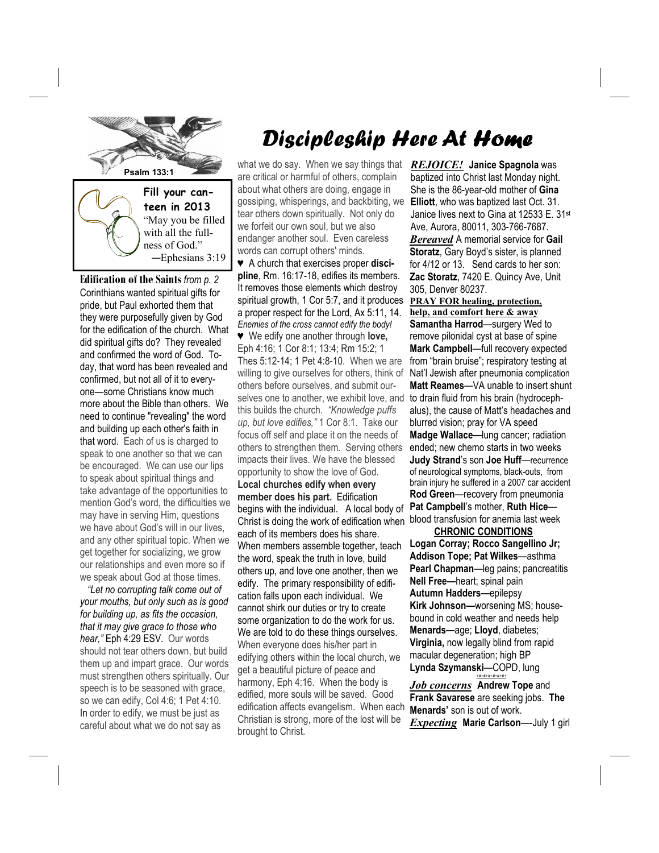

with all the fullness of God." —Ephesians 3:19

**Edification of the Saints** *from p. 2*  Corinthians wanted spiritual gifts for pride, but Paul exhorted them that they were purposefully given by God for the edification of the church. What did spiritual gifts do? They revealed and confirmed the word of God. Today, that word has been revealed and confirmed, but not all of it to everyone—some Christians know much more about the Bible than others. We need to continue "revealing" the word and building up each other's faith in that word. Each of us is charged to speak to one another so that we can be encouraged. We can use our lips to speak about spiritual things and take advantage of the opportunities to mention God's word, the difficulties we may have in serving Him, questions we have about God's will in our lives, and any other spiritual topic. When we get together for socializing, we grow our relationships and even more so if we speak about God at those times.

 *"Let no corrupting talk come out of your mouths, but only such as is good for building up, as fits the occasion, that it may give grace to those who hear,"* Eph 4:29 ESV. Our words should not tear others down, but build them up and impart grace. Our words must strengthen others spiritually. Our speech is to be seasoned with grace, so we can edify, Col 4:6; 1 Pet 4:10. In order to edify, we must be just as careful about what we do not say as

# Discipleship Here At Home

what we do say. When we say things that are critical or harmful of others, complain about what others are doing, engage in gossiping, whisperings, and backbiting, we tear others down spiritually. Not only do we forfeit our own soul, but we also endanger another soul. Even careless words can corrupt others' minds.

♥ A church that exercises proper **discipline**, Rm. 16:17-18, edifies its members. It removes those elements which destroy spiritual growth, 1 Cor 5:7, and it produces a proper respect for the Lord, Ax 5:11, 14. *Enemies of the cross cannot edify the body!* ♥ We edify one another through **love,**  Eph 4:16; 1 Cor 8:1; 13:4; Rm 15:2; 1 Thes 5:12-14; 1 Pet 4:8-10. When we are willing to give ourselves for others, think of others before ourselves, and submit ourselves one to another, we exhibit love, and this builds the church. *"Knowledge puffs up, but love edifies,"* 1 Cor 8:1. Take our focus off self and place it on the needs of others to strengthen them. Serving others impacts their lives. We have the blessed opportunity to show the love of God. **Local churches edify when every member does his part.** Edification begins with the individual. A local body of Christ is doing the work of edification when each of its members does his share. When members assemble together, teach the word, speak the truth in love, build others up, and love one another, then we edify. The primary responsibility of edification falls upon each individual. We cannot shirk our duties or try to create some organization to do the work for us. We are told to do these things ourselves. When everyone does his/her part in edifying others within the local church, we get a beautiful picture of peace and harmony, Eph 4:16. When the body is edified, more souls will be saved. Good edification affects evangelism. When each Christian is strong, more of the lost will be brought to Christ.

*REJOICE!* **Janice Spagnola** was baptized into Christ last Monday night. She is the 86-year-old mother of **Gina Elliott**, who was baptized last Oct. 31. Janice lives next to Gina at 12533 E. 31st Ave, Aurora, 80011, 303-766-7687. *Bereaved* A memorial service for **Gail** 

**Storatz**, Gary Boyd's sister, is planned for 4/12 or 13. Send cards to her son: **Zac Storatz**, 7420 E. Quincy Ave, Unit 305, Denver 80237.

**PRAY FOR healing, protection, help, and comfort here & away Samantha Harrod**—surgery Wed to remove pilonidal cyst at base of spine **Mark Campbell**—full recovery expected from "brain bruise"; respiratory testing at Nat'l Jewish after pneumonia complication **Matt Reames**—VA unable to insert shunt to drain fluid from his brain (hydrocephalus), the cause of Matt's headaches and blurred vision; pray for VA speed **Madge Wallace—**lung cancer; radiation ended; new chemo starts in two weeks **Judy Strand**'s son **Joe Huff**—recurrence of neurological symptoms, black-outs, from brain injury he suffered in a 2007 car accident **Rod Green**—recovery from pneumonia **Pat Campbell**'s mother, **Ruth Hice** blood transfusion for anemia last week

 **CHRONIC CONDITIONS Logan Corray; Rocco Sangellino Jr; Addison Tope; Pat Wilkes**—asthma **Pearl Chapman**—leg pains; pancreatitis **Nell Free—**heart; spinal pain **Autumn Hadders—**epilepsy **Kirk Johnson—**worsening MS; housebound in cold weather and needs help **Menards—**age; **Lloyd**, diabetes; **Virginia,** now legally blind from rapid macular degeneration; high BP **Lynda Szymanski**—COPD, lung

*Job concerns* **Andrew Tope** and **Frank Savarese** are seeking jobs. **The Menards'** son is out of work. *Expecting* **Marie Carlson**—-July 1 girl

*+#+#+#+#+#+#+*